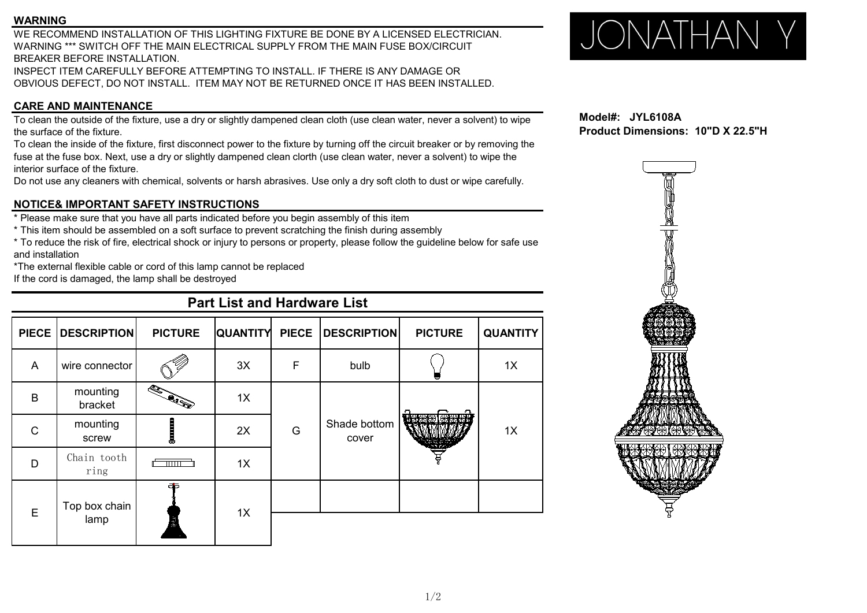### **WARNING**

WE RECOMMEND INSTALLATION OF THIS LIGHTING FIXTURE BE DONE BY A LICENSED ELECTRICIAN. WARNING<br>WE RECOMMEND INSTALLATION OF THIS LIGHTING FIXTURE BE DONE BY A LICENSED ELECTRICIAN.<br>WARNING \*\*\* SWITCH OFF THE MAIN ELECTRICAL SUPPLY FROM THE MAIN FUSE BOX/CIRCUIT BREAKER BEFORE INSTALLATION.

INSPECT ITEM CAREFULLY BEFORE ATTEMPTING TO INSTALL. IF THERE IS ANY DAMAGE OR OBVIOUS DEFECT, DO NOT INSTALL. ITEM MAY NOT BE RETURNED ONCE ITHAS BEEN INSTALLED.

### **CARE AND MAINTENANCE**

To clean the outside of the fixture, use a dry or slightly dampened clean cloth (use clean water, never a solvent) to wipe the surface of the fixture.

To clean the inside of the fixture, first disconnect power to the fixture by turning off the circuit breaker or by removing the fuse at the fuse box. Next, use a dry or slightly dampened clean clorth (use clean water, never a solvent) to wipe the interior surface of the fixture.

Do not use any cleaners with chemical, solvents or harsh abrasives. Use only a dry soft cloth to dust orwipe carefully.

### **NOTICE& IMPORTANT SAFETY INSTRUCTIONS**

\* Please make sure that you have all parts indicated before you begin assembly ofthis item

\* This item should be assembled on a soft surface to prevent scratching the finish during assembly

\* To reduce the risk of fire, electrical shock or injury to persons or property, please follow the guideline below for safe use and installation

\*The external flexible cable or cord of this lamp cannot be replaced

If the cord is damaged, the lamp shall be destroyed

## **Part List and Hardware List PIECE DESCRIPTION PICTURE QUANTITY PIECE DESCRIPTION PICTURE QUANTITY** A wire connector 3X F bulb 1X  $\begin{array}{|c|c|c|c|c|}\n\hline\n\text{B} & \text{mounting} & \text{S.} \\
\hline\n\text{bracket} & \text{S.} & \text{I.} \\
\hline\n\end{array}$  $\frac{1}{2}$  bracket  $\frac{1}{2}$   $\frac{1}{2}$  1X G CONG CONTROLLER Shade bottom  $\left|\frac{\sqrt{1-\frac{1}{2}}}{\sqrt{1-\frac{1}{2}}}\right|$  1x cover <sup>C</sup> 1X mounting  $\begin{array}{|c|c|c|c|c|c|}\n \hline\n \text{score} & \text{max} & \text{max} & \text{max} \\
 \hline\n \end{array}$ 2X  $D$  |  $U$ <sup>112111</sup>  $U$ 00 $U$ 11 |  $\sqrt{U(1)}$ Chain tooth ring  $1X \qquad \qquad$  $E = \begin{bmatrix} Top & box & chain \\ 1 & \dots & \dots \end{bmatrix}$   $\begin{bmatrix} 1 \\ 2 \end{bmatrix}$   $\begin{bmatrix} 1 \\ 2 \end{bmatrix}$   $\begin{bmatrix} 1 \\ 2 \end{bmatrix}$ lamp 1X  $\qquad \qquad$

**Model#: JYL6108A Product Dimensions: 10"D X 22.5"H**